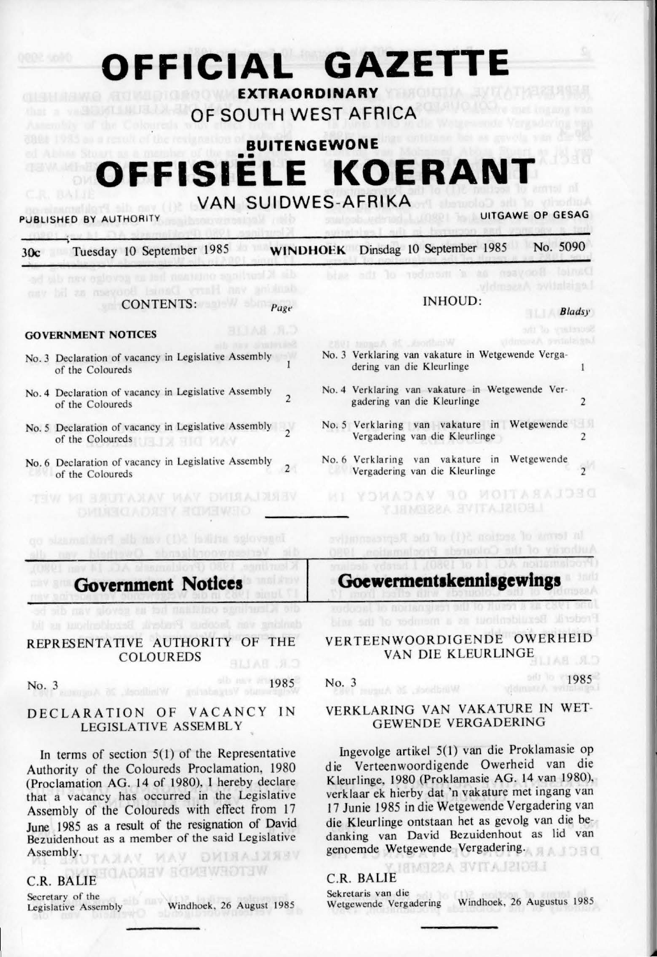# **OFFICIAL GAZETTE**

**EXTRAORDINARY OF SOUTH WEST AFRICA** 

# **BUITENGEWONE OFFISIELE KOERANT**

# **VAN SUIDWES-AFRIKA**

# PUBLISHED BY AUTHORITY **EXAMPLE 20 YO F AUTHORITY** UITGAWE OP GESAG

| Tuesday 10 September 1985<br>30c                                                                                                                                                                                                                                                      | No. 5090<br><b>WINDHOEK</b> Dinsdag 10 September 1985                                           |
|---------------------------------------------------------------------------------------------------------------------------------------------------------------------------------------------------------------------------------------------------------------------------------------|-------------------------------------------------------------------------------------------------|
| sily new epicyces on fert machunde sant<br>the van Harry Daniel Booyeen as<br>まれあわ                                                                                                                                                                                                    | syltalaise.                                                                                     |
| CONTENTS:<br>Page                                                                                                                                                                                                                                                                     | <b>INHOUD:</b><br><b>Bladsy</b>                                                                 |
| <b>GOVERNMENT NOTICES</b>                                                                                                                                                                                                                                                             | Us ornellesting<br>vidnessen byfalzigat<br>Windbook at August 1985                              |
| No. 3 Declaration of vacancy in Legislative Assembly<br>of the Coloureds                                                                                                                                                                                                              | No. 3 Verklaring van vakature in Wetgewende Verga-<br>dering van die Kleurlinge<br>1            |
| No. 4 Declaration of vacancy in Legislative Assembly<br>$\overline{c}$<br>of the Coloureds                                                                                                                                                                                            | No. 4 Verklaring van vakature in Wetgewende Ver-<br>gadering van die Kleurlinge<br>2            |
| No. 5 Declaration of vacancy in Legislative Assembly<br>of the Coloureds and the Coloured State of the Coloured State and State and State and State and State and State and State and State and State and State and State and State and State and State and State and State and State | No. 5 Verklaring van vakature in Wetgewende<br>Vergadering van die Kleurlinge<br>$\overline{2}$ |
| No. 6 Declaration of vacancy in Legislative Assembly<br>of the Coloureds                                                                                                                                                                                                              | No. 6 Verklaring van vakature in Wetgewende<br>Vergadering van die Kleurlinge                   |
| <b>MAY DMMAINSY</b><br>HELLA XAV<br><b>HELLA ELWEND</b>                                                                                                                                                                                                                               | LEGISTATIVE ASSEMBAR                                                                            |
| signeous srikel 5(1) van die Proklamske<br>Verlesswoordinande Owerheld                                                                                                                                                                                                                | In terms of section 5(1) of the Representative<br>uhority of the Coloureds Proclamation. 1990.  |
| <b>Government Notices</b>                                                                                                                                                                                                                                                             | Goewermentskennisgewings                                                                        |
| and nav gloves as far mail@mo<br>Arstory suddenl.<br><b>Huyling Victor</b><br>REPRESENTATIVE AUTHORITY OF THE                                                                                                                                                                         | <b>Tivollim's Inself</b><br>binn szil lo vodnosm a zn<br>VERTEENWOORDIGENDE OWERHEID            |
| <b>COLOUREDS</b>                                                                                                                                                                                                                                                                      | VAN DIE KLEURLINGE                                                                              |
| 1985<br>No. 3<br>Mentillied W<br>minds yts                                                                                                                                                                                                                                            | 1985<br>No. 3<br>Windbook, 26 August                                                            |
|                                                                                                                                                                                                                                                                                       | VAN VAVATUDE IN WET                                                                             |

# DECLARATION OF VACANCY IN LEGISLATIVE ASSEMBLY

ln terms of section 5(1) of the Representative Authority of the Coloureds Proclamation, 1980 (Proc lamation AG. 14 of I 980), **1** hereby declare that a vacancy has occurred in the Legislative Assembly of the Coloureds with effect from 17 June 1985 as a result of the resignation of David Bezuidenhout as a member of the said Legislative Assembly. VERKLARING VAN VAKA

# **C.R. BALIE CADREY BOWEWROTEW**

Secretary of the<br>Legislative Assembly

Windhoek, 26 August 1985

## VERKLARING VAN VAKATURE IN GEWENDE VERGADERING

lngevolge artikel 5(1) van die Proklamasie op die Verteenwoordigende Owerheid van die Kleurlinge, 1980 (Proklamasie AG. 14 van 1980), verklaar ek hierby dat 'n vakature met ingang van 17 Junie 1985 in die Wetgewende Vergadering van die Kleurlinge ontstaan het as gevolg van die bedanking van David Bezuidenhout as lid van genoemde Wetgewende Vergadering.

LEGISLATIVE ASSEMB

# C.R. BALIE

Sekretaris van die<br>Wetgewende Vergadering

Windhoek, 26 Augustus 1985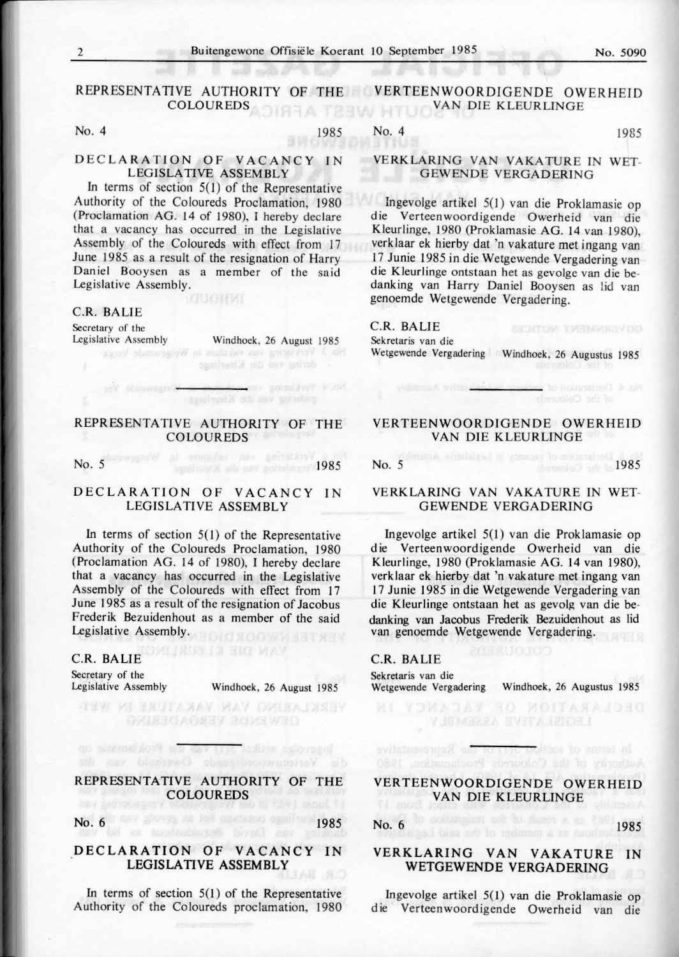#### REPRESENTATIVE AUTHORITY OF THE VERTEENWOORDIGENDE OWERHEID COLOUREDS **NARA TRAW HTUO**

# No. 4 1985

### **DE C LARATION** OF **VACANCY I N LEGISLATIVE ASSEMBLY**

In terms of section  $5(1)$  of the Representative Authority of the Coloureds Proclamation, 1980 (Proclamation AG. 14 of 1980), I hereby declare that a vacancy has occurred in the Legislative Assembly of the Coloureds with effect from 17 June 1985 as a result of the resignation of Harry Daniel Booysen as a member of the said Legislative Assembly.

#### C.R. BALIE

Secretary of the<br>Legislative Assembly

Windhoek, 26 August 1985 No. 3 Vertical var vaturate in Weisewease's Versa.

No. 4 Verklating van

casibacile ob asy anivob

### REPRESENTATIVE AUTHORITY OF THE **COLOUREDS**

No.  $5$ <sup>6 197</sup> 1987 al enviadat par genudare 1985

# DECLARATION OF VACANCY IN LEGISLATIVE ASSEMBLY

In terms of section  $5(1)$  of the Representative Authority of the Coloureds Proclamation, 1980 (Proclamation AG. 14 of 1980), I hereby declare that a vacancy has occurred in the Legislative Assembly of the Coloureds with effect from 17 June 1985 as a result of the resignation of Jacobus Frederik Bezuidenhout as a member of the said Legislative Assembly.

**DAN SIE KLEIRLING** 

**THE LARGEN VAN VAKATURE IN WEST ОУПАЗО АОЯЗУ ЗОМЕWED** 

# C.R. BALIE

Secretary of the<br>Legislative Assembly

Windhoek, 26 August 1985

# REPRESENTATIVE AUTHORITY OF THE **COLOUREDS**

die Verteenwoordensels Owenig van die

become same at 211 van de Proklamatic op

No. 6 **1985** 

# **DECLARATION OF VACANCY IN LEGISLATIVE ASSEMBLY**

In terms of section 5(1) of the Representative Authority of the Coloureds proclamation, 1980

# VAN DIE KLEURLINGE

No. 4 1985

# VERKLARING VAN VAKATURE IN WET-GEWENDE VERGADERING

Ingevolge artikel 5(1) van die Proklamasie op die Verteen woord igende Owerheid van die Kleurlinge, 1980 (Proklamasie AG. 14 van 1980), verk laar ek hierby dat 'n vakature met ingang van 17 Junie 1985 in die Wetgewende Vergadering van die Kleurlinge ontstaan het as gevolge van die bedanking van Harry Daniel Booysen as lid van genoemde Wetgewende Vergadering.

#### C.R. BAL!E

Sekretaris van die

Wetgewende Vergadering Windhoek, 26 Augustus 1985

**SEDITOM THEMMASYOD** 

No. 4 Decision of a

### VERTEENWOORDIGENDE OWERHE ID VAN DIE KLEURLINGE

No.  $5$  1985

#### VERKLARING VAN VAKA TURE IN WET-GEWENDE VERGAOERING

lngevolge artikel 5(1) van die Prok lamasie op die Verteenwoordigende Owerheid van die Kleurlinge, 1980 (Proklamasie AG. 14 van 1980), verklaar ek hierby dat 'n vakature met ingang van 17 Junie 1985 in die Wetgewende Vergadering van die Kleurlinge ontstaan het as gevolg van die bedanking van Jacobus Frederik Bezuidenhout as lid van genoemde Wetgewende Vergadering.

# C.R. BALIE

Sekretaris van die

Wetgewende Vergadering Windhoek, 26 Augustus 1985

# **VERTEENWOORDIGENDE OWERHEID**  VAN DIE KLEURLINGE

in terms of section 5777 of the Repeated by

No. 6 **1985** and the state of the state of the state of the state of the state of the state of the state of the state of the state of the state of the state of the state of the state of the state of the state of the state

# **VERKLARING VAN VAKATURE IN**  WETGEWENDE VERGADERlNG

lngevolge artikel 5(1) van die Proklamasie op die Verteenwoordigende Owerheid van die